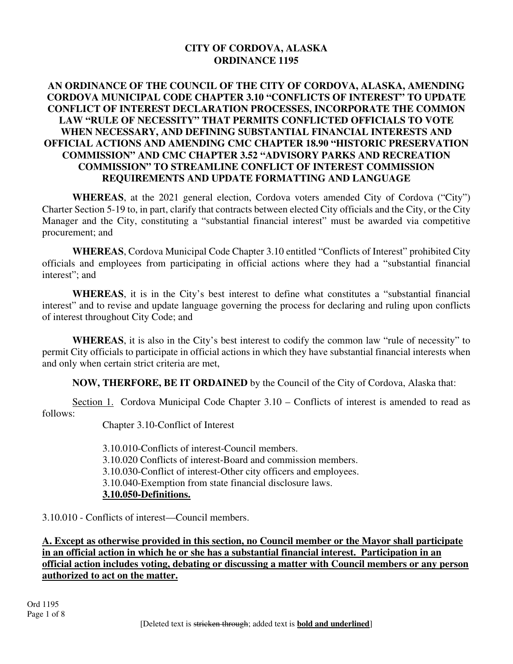### **CITY OF CORDOVA, ALASKA ORDINANCE 1195**

#### **AN ORDINANCE OF THE COUNCIL OF THE CITY OF CORDOVA, ALASKA, AMENDING CORDOVA MUNICIPAL CODE CHAPTER 3.10 "CONFLICTS OF INTEREST" TO UPDATE CONFLICT OF INTEREST DECLARATION PROCESSES, INCORPORATE THE COMMON LAW "RULE OF NECESSITY" THAT PERMITS CONFLICTED OFFICIALS TO VOTE WHEN NECESSARY, AND DEFINING SUBSTANTIAL FINANCIAL INTERESTS AND OFFICIAL ACTIONS AND AMENDING CMC CHAPTER 18.90 "HISTORIC PRESERVATION COMMISSION" AND CMC CHAPTER 3.52 "ADVISORY PARKS AND RECREATION COMMISSION" TO STREAMLINE CONFLICT OF INTEREST COMMISSION REQUIREMENTS AND UPDATE FORMATTING AND LANGUAGE**

**WHEREAS**, at the 2021 general election, Cordova voters amended City of Cordova ("City") Charter Section 5-19 to, in part, clarify that contracts between elected City officials and the City, or the City Manager and the City, constituting a "substantial financial interest" must be awarded via competitive procurement; and

**WHEREAS**, Cordova Municipal Code Chapter 3.10 entitled "Conflicts of Interest" prohibited City officials and employees from participating in official actions where they had a "substantial financial interest"; and

**WHEREAS**, it is in the City's best interest to define what constitutes a "substantial financial interest" and to revise and update language governing the process for declaring and ruling upon conflicts of interest throughout City Code; and

**WHEREAS**, it is also in the City's best interest to codify the common law "rule of necessity" to permit City officials to participate in official actions in which they have substantial financial interests when and only when certain strict criteria are met,

**NOW, THERFORE, BE IT ORDAINED** by the Council of the City of Cordova, Alaska that:

Section 1. Cordova Municipal Code Chapter 3.10 – Conflicts of interest is amended to read as follows:

Chapter 3.10-Conflict of Interest

 3.10.010-Conflicts of interest-Council members. 3.10.020 Conflicts of interest-Board and commission members. 3.10.030-Conflict of interest-Other city officers and employees. 3.10.040-Exemption from state financial disclosure laws. **3.10.050-Definitions.**

3.10.010 - Conflicts of interest—Council members.

**A. Except as otherwise provided in this section, no Council member or the Mayor shall participate in an official action in which he or she has a substantial financial interest. Participation in an official action includes voting, debating or discussing a matter with Council members or any person authorized to act on the matter.**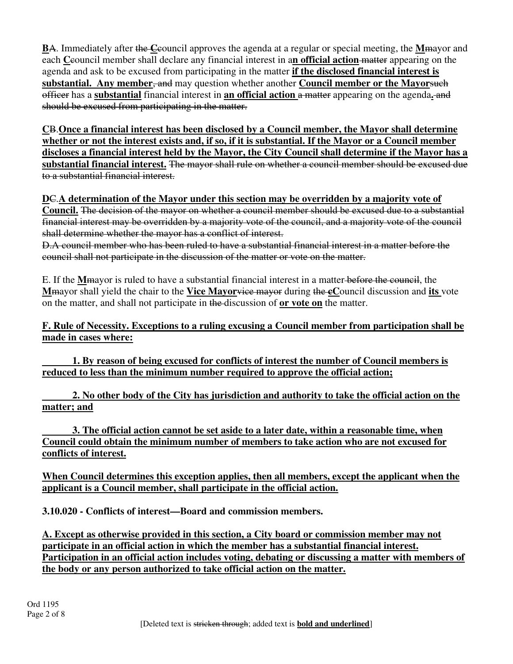**B**A. Immediately after the **C**council approves the agenda at a regular or special meeting, the **M**mayor and each **C**council member shall declare any financial interest in a**n official action** matter appearing on the agenda and ask to be excused from participating in the matter **if the disclosed financial interest is substantial. Any member, and may question whether another Council member or the Mayorsuch** officer has a **substantial** financial interest in **an official action** a matter appearing on the agenda**.** and should be excused from participating in the matter.

**C**B.**Once a financial interest has been disclosed by a Council member, the Mayor shall determine whether or not the interest exists and, if so, if it is substantial. If the Mayor or a Council member discloses a financial interest held by the Mayor, the City Council shall determine if the Mayor has a substantial financial interest.** The mayor shall rule on whether a council member should be excused due to a substantial financial interest.

**D**C.**A determination of the Mayor under this section may be overridden by a majority vote of Council.** The decision of the mayor on whether a council member should be excused due to a substantial financial interest may be overridden by a majority vote of the council, and a majority vote of the council shall determine whether the mayor has a conflict of interest.

D.A council member who has been ruled to have a substantial financial interest in a matter before the council shall not participate in the discussion of the matter or vote on the matter.

E. If the **M**mayor is ruled to have a substantial financial interest in a matter before the council, the **M**mayor shall yield the chair to the **Vice Mayor**vice mayor during the **cC**ouncil discussion and **its** vote on the matter, and shall not participate in the discussion of **or vote on** the matter.

**F. Rule of Necessity. Exceptions to a ruling excusing a Council member from participation shall be made in cases where:**

**1. By reason of being excused for conflicts of interest the number of Council members is reduced to less than the minimum number required to approve the official action;**

 **2. No other body of the City has jurisdiction and authority to take the official action on the matter; and**

**3. The official action cannot be set aside to a later date, within a reasonable time, when Council could obtain the minimum number of members to take action who are not excused for conflicts of interest.**

**When Council determines this exception applies, then all members, except the applicant when the applicant is a Council member, shall participate in the official action.**

**3.10.020 - Conflicts of interest—Board and commission members.**

**A. Except as otherwise provided in this section, a City board or commission member may not participate in an official action in which the member has a substantial financial interest. Participation in an official action includes voting, debating or discussing a matter with members of the body or any person authorized to take official action on the matter.**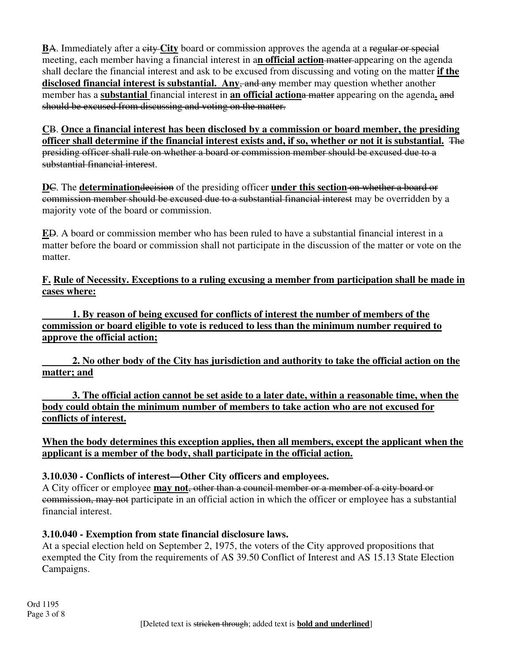**B**A. Immediately after a eity-City board or commission approves the agenda at a regular or special meeting, each member having a financial interest in a**n official action** matter appearing on the agenda shall declare the financial interest and ask to be excused from discussing and voting on the matter **if the**  disclosed financial interest is substantial. Any, and any member may question whether another member has a **substantial** financial interest in **an official action**a matter appearing on the agenda**.** and should be excused from discussing and voting on the matter.

**C**B. **Once a financial interest has been disclosed by a commission or board member, the presiding officer shall determine if the financial interest exists and, if so, whether or not it is substantial.** The presiding officer shall rule on whether a board or commission member should be excused due to a substantial financial interest.

**D**C. The **determination** decision of the presiding officer **under this section** on whether a board or commission member should be excused due to a substantial financial interest may be overridden by a majority vote of the board or commission.

**E**D. A board or commission member who has been ruled to have a substantial financial interest in a matter before the board or commission shall not participate in the discussion of the matter or vote on the matter.

**F. Rule of Necessity. Exceptions to a ruling excusing a member from participation shall be made in cases where:**

**1. By reason of being excused for conflicts of interest the number of members of the commission or board eligible to vote is reduced to less than the minimum number required to approve the official action;**

**2. No other body of the City has jurisdiction and authority to take the official action on the matter; and**

**3. The official action cannot be set aside to a later date, within a reasonable time, when the body could obtain the minimum number of members to take action who are not excused for conflicts of interest.**

**When the body determines this exception applies, then all members, except the applicant when the applicant is a member of the body, shall participate in the official action.**

### **3.10.030 - Conflicts of interest—Other City officers and employees.**

A City officer or employee **may not**, other than a council member or a member of a city board or commission, may not participate in an official action in which the officer or employee has a substantial financial interest.

# **3.10.040 - Exemption from state financial disclosure laws.**

At a special election held on September 2, 1975, the voters of the City approved propositions that exempted the City from the requirements of AS 39.50 Conflict of Interest and AS 15.13 State Election Campaigns.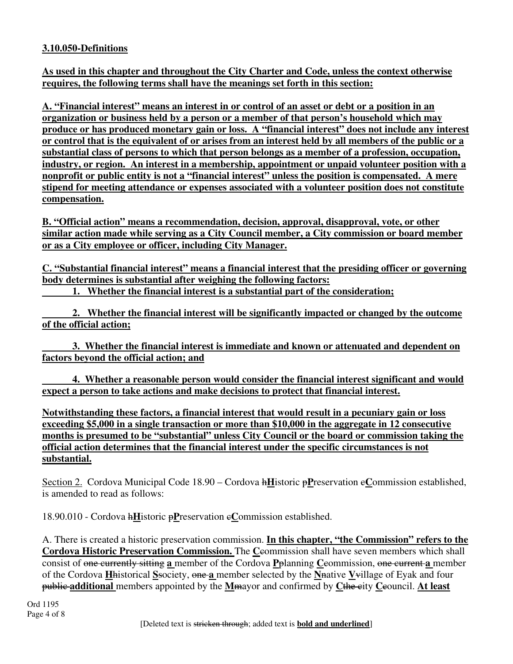### **3.10.050-Definitions**

**As used in this chapter and throughout the City Charter and Code, unless the context otherwise requires, the following terms shall have the meanings set forth in this section:**

**A. "Financial interest" means an interest in or control of an asset or debt or a position in an organization or business held by a person or a member of that person's household which may produce or has produced monetary gain or loss. A "financial interest" does not include any interest or control that is the equivalent of or arises from an interest held by all members of the public or a substantial class of persons to which that person belongs as a member of a profession, occupation, industry, or region. An interest in a membership, appointment or unpaid volunteer position with a nonprofit or public entity is not a "financial interest" unless the position is compensated. A mere stipend for meeting attendance or expenses associated with a volunteer position does not constitute compensation.**

**B. "Official action" means a recommendation, decision, approval, disapproval, vote, or other similar action made while serving as a City Council member, a City commission or board member or as a City employee or officer, including City Manager.**

**C. "Substantial financial interest" means a financial interest that the presiding officer or governing body determines is substantial after weighing the following factors:**

**1. Whether the financial interest is a substantial part of the consideration;**

 **2. Whether the financial interest will be significantly impacted or changed by the outcome of the official action;** 

 **3. Whether the financial interest is immediate and known or attenuated and dependent on factors beyond the official action; and**

 **4. Whether a reasonable person would consider the financial interest significant and would expect a person to take actions and make decisions to protect that financial interest.**

**Notwithstanding these factors, a financial interest that would result in a pecuniary gain or loss exceeding \$5,000 in a single transaction or more than \$10,000 in the aggregate in 12 consecutive months is presumed to be "substantial" unless City Council or the board or commission taking the official action determines that the financial interest under the specific circumstances is not substantial.**

Section 2. Cordova Municipal Code 18.90 – Cordova h**H**istoric p**P**reservation c**C**ommission established, is amended to read as follows:

18.90.010 - Cordova h**H**istoric p**P**reservation c**C**ommission established.

A. There is created a historic preservation commission. **In this chapter, "the Commission" refers to the Cordova Historic Preservation Commission.** The Ceommission shall have seven members which shall consist of one currently sitting **a** member of the Cordova **P**planning **C**commission, one current **a** member of the Cordova **H**historical **S**society, one **a** member selected by the **N**native **V**village of Eyak and four public **additional** members appointed by the **M**mayor and confirmed by **C**the city **C**council. **At least**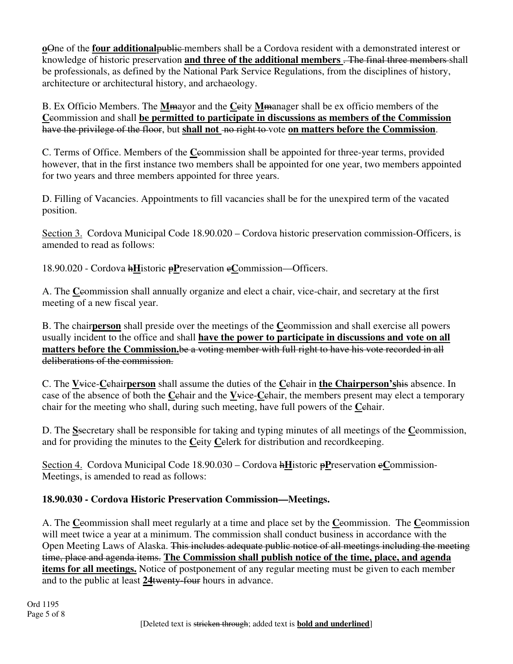**o**One of the **four additional**public members shall be a Cordova resident with a demonstrated interest or knowledge of historic preservation **and three of the additional members** . The final three members shall be professionals, as defined by the National Park Service Regulations, from the disciplines of history, architecture or architectural history, and archaeology.

B. Ex Officio Members. The **M**mayor and the **C**city **M**manager shall be ex officio members of the **C**commission and shall **be permitted to participate in discussions as members of the Commission**  have the privilege of the floor, but **shall not** no right to vote **on matters before the Commission**.

C. Terms of Office. Members of the **C**commission shall be appointed for three-year terms, provided however, that in the first instance two members shall be appointed for one year, two members appointed for two years and three members appointed for three years.

D. Filling of Vacancies. Appointments to fill vacancies shall be for the unexpired term of the vacated position.

Section 3. Cordova Municipal Code 18.90.020 – Cordova historic preservation commission-Officers, is amended to read as follows:

18.90.020 - Cordova h**H**istoric p**P**reservation c**C**ommission—Officers.

A. The **C**commission shall annually organize and elect a chair, vice-chair, and secretary at the first meeting of a new fiscal year.

B. The chair**person** shall preside over the meetings of the **C**commission and shall exercise all powers usually incident to the office and shall **have the power to participate in discussions and vote on all matters before the Commission.**be a voting member with full right to have his vote recorded in all deliberations of the commission.

C. The **V**vice-**C**chair**person** shall assume the duties of the **C**chair in **the Chairperson's**his absence. In case of the absence of both the **C**chair and the **V**vice-**C**chair, the members present may elect a temporary chair for the meeting who shall, during such meeting, have full powers of the **C**chair.

D. The **S**secretary shall be responsible for taking and typing minutes of all meetings of the **C**commission, and for providing the minutes to the **C**eity **C**elerk for distribution and recordkeeping.

Section 4. Cordova Municipal Code 18.90.030 – Cordova h**H**istoric p**P**reservation c**C**ommission-Meetings, is amended to read as follows:

# **18.90.030 - Cordova Historic Preservation Commission—Meetings.**

A. The **C**commission shall meet regularly at a time and place set by the **C**commission. The **C**commission will meet twice a year at a minimum. The commission shall conduct business in accordance with the Open Meeting Laws of Alaska. This includes adequate public notice of all meetings including the meeting time, place and agenda items. **The Commission shall publish notice of the time, place, and agenda items for all meetings.** Notice of postponement of any regular meeting must be given to each member and to the public at least **24**twenty-four hours in advance.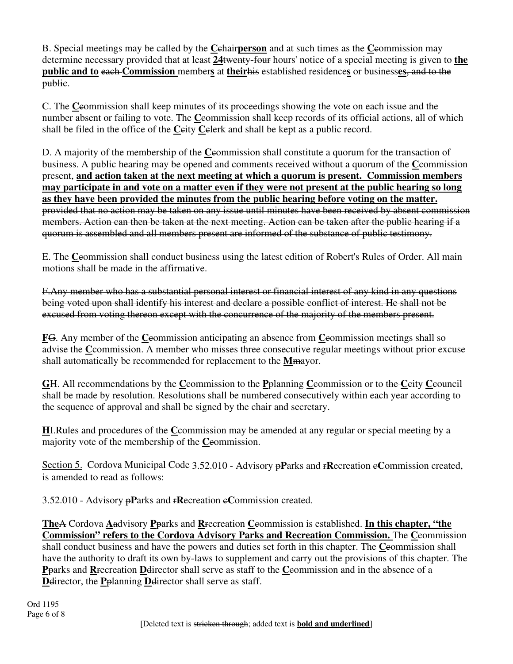B. Special meetings may be called by the **C**chair**person** and at such times as the **C**commission may determine necessary provided that at least **24**twenty-four hours' notice of a special meeting is given to **the public and to** each **Commission** member**s** at **their**his established residence**s** or business**es**, and to the public.

C. The **C**commission shall keep minutes of its proceedings showing the vote on each issue and the number absent or failing to vote. The **C**commission shall keep records of its official actions, all of which shall be filed in the office of the **C**city **C**clerk and shall be kept as a public record.

D. A majority of the membership of the **C**commission shall constitute a quorum for the transaction of business. A public hearing may be opened and comments received without a quorum of the **C**commission present, **and action taken at the next meeting at which a quorum is present. Commission members may participate in and vote on a matter even if they were not present at the public hearing so long as they have been provided the minutes from the public hearing before voting on the matter.**  provided that no action may be taken on any issue until minutes have been received by absent commission members. Action can then be taken at the next meeting. Action can be taken after the public hearing if a quorum is assembled and all members present are informed of the substance of public testimony.

E. The **C**commission shall conduct business using the latest edition of Robert's Rules of Order. All main motions shall be made in the affirmative.

F.Any member who has a substantial personal interest or financial interest of any kind in any questions being voted upon shall identify his interest and declare a possible conflict of interest. He shall not be excused from voting thereon except with the concurrence of the majority of the members present.

**F**G. Any member of the **C**commission anticipating an absence from **C**commission meetings shall so advise the **C**eommission. A member who misses three consecutive regular meetings without prior excuse shall automatically be recommended for replacement to the **M**mayor.

**G**H. All recommendations by the **C**commission to the **P**planning **C**commission or to the **C**city **C**council shall be made by resolution. Resolutions shall be numbered consecutively within each year according to the sequence of approval and shall be signed by the chair and secretary.

**H**I.Rules and procedures of the **C**commission may be amended at any regular or special meeting by a majority vote of the membership of the **C**eommission.

Section 5. Cordova Municipal Code 3.52.010 - Advisory pParks and rRecreation eCommission created, is amended to read as follows:

3.52.010 - Advisory **pP**arks and **rRecreation eCommission created.** 

**The**A Cordova **A**advisory **P**parks and **R**recreation **C**commission is established. **In this chapter, "the Commission" refers to the Cordova Advisory Parks and Recreation Commission.** The **C**commission shall conduct business and have the powers and duties set forth in this chapter. The **C**commission shall have the authority to draft its own by-laws to supplement and carry out the provisions of this chapter. The **P**parks and **R**recreation **D**director shall serve as staff to the **C**commission and in the absence of a **D**director, the **P**planning **D**director shall serve as staff.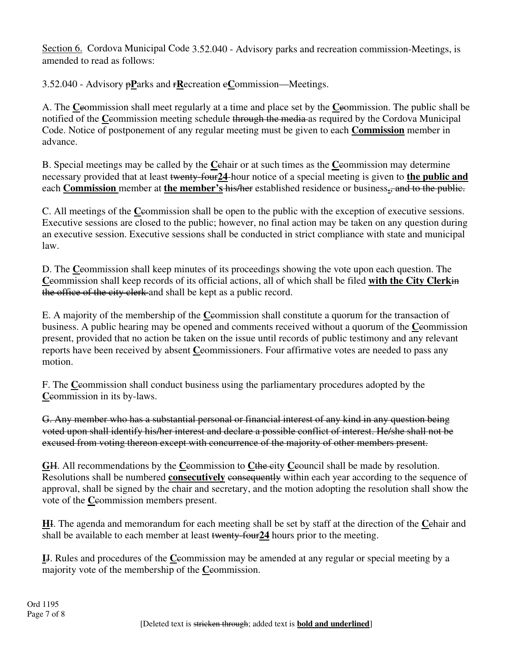Section 6. Cordova Municipal Code 3.52.040 - Advisory parks and recreation commission-Meetings, is amended to read as follows:

3.52.040 - Advisory p**P**arks and r**R**ecreation c**C**ommission—Meetings.

A. The **C**commission shall meet regularly at a time and place set by the **C**commission. The public shall be notified of the **C**commission meeting schedule through the media as required by the Cordova Municipal Code. Notice of postponement of any regular meeting must be given to each **Commission** member in advance.

B. Special meetings may be called by the **C**chair or at such times as the **C**commission may determine necessary provided that at least twenty-four**24**-hour notice of a special meeting is given to **the public and** each **Commission** member at **the member's** his/her established residence or business**.**, and to the public.

C. All meetings of the **C**commission shall be open to the public with the exception of executive sessions. Executive sessions are closed to the public; however, no final action may be taken on any question during an executive session. Executive sessions shall be conducted in strict compliance with state and municipal law.

D. The **C**commission shall keep minutes of its proceedings showing the vote upon each question. The **C**commission shall keep records of its official actions, all of which shall be filed **with the City Clerk**in the office of the city clerk and shall be kept as a public record.

E. A majority of the membership of the **C**commission shall constitute a quorum for the transaction of business. A public hearing may be opened and comments received without a quorum of the **C**commission present, provided that no action be taken on the issue until records of public testimony and any relevant reports have been received by absent **C**eommissioners. Four affirmative votes are needed to pass any motion.

F. The **C**commission shall conduct business using the parliamentary procedures adopted by the **Ceommission in its by-laws.** 

G. Any member who has a substantial personal or financial interest of any kind in any question being voted upon shall identify his/her interest and declare a possible conflict of interest. He/she shall not be excused from voting thereon except with concurrence of the majority of other members present.

GH. All recommendations by the Ceommission to Cthe city Ceouncil shall be made by resolution. Resolutions shall be numbered **consecutively** consequently within each year according to the sequence of approval, shall be signed by the chair and secretary, and the motion adopting the resolution shall show the vote of the **C**eommission members present.

**H**I. The agenda and memorandum for each meeting shall be set by staff at the direction of the **C**chair and shall be available to each member at least twenty-four**24** hours prior to the meeting.

**I**J. Rules and procedures of the **C**commission may be amended at any regular or special meeting by a majority vote of the membership of the **C**commission.